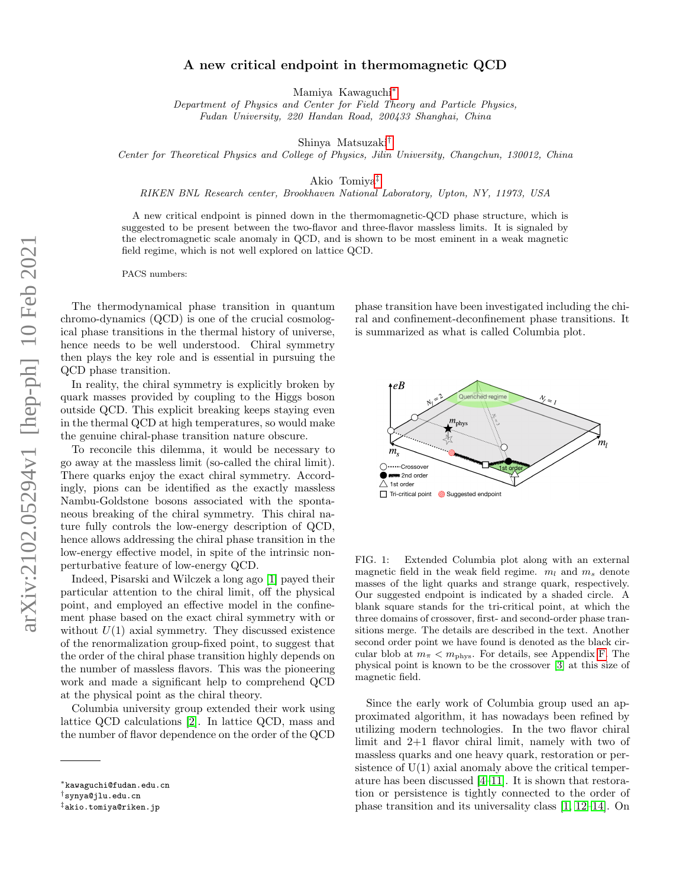# A new critical endpoint in thermomagnetic QCD

Mamiya Kawaguchi[∗](#page-0-0)

Department of Physics and Center for Field Theory and Particle Physics, Fudan University, 220 Handan Road, 200433 Shanghai, China

Shinya Matsuzaki[†](#page-0-1)

Center for Theoretical Physics and College of Physics, Jilin University, Changchun, 130012, China

Akio Tomiya[‡](#page-0-2)

RIKEN BNL Research center, Brookhaven National Laboratory, Upton, NY, 11973, USA

A new critical endpoint is pinned down in the thermomagnetic-QCD phase structure, which is suggested to be present between the two-flavor and three-flavor massless limits. It is signaled by the electromagnetic scale anomaly in QCD, and is shown to be most eminent in a weak magnetic field regime, which is not well explored on lattice QCD.

PACS numbers:

The thermodynamical phase transition in quantum chromo-dynamics (QCD) is one of the crucial cosmological phase transitions in the thermal history of universe, hence needs to be well understood. Chiral symmetry then plays the key role and is essential in pursuing the QCD phase transition.

In reality, the chiral symmetry is explicitly broken by quark masses provided by coupling to the Higgs boson outside QCD. This explicit breaking keeps staying even in the thermal QCD at high temperatures, so would make the genuine chiral-phase transition nature obscure.

To reconcile this dilemma, it would be necessary to go away at the massless limit (so-called the chiral limit). There quarks enjoy the exact chiral symmetry. Accordingly, pions can be identified as the exactly massless Nambu-Goldstone bosons associated with the spontaneous breaking of the chiral symmetry. This chiral nature fully controls the low-energy description of QCD, hence allows addressing the chiral phase transition in the low-energy effective model, in spite of the intrinsic nonperturbative feature of low-energy QCD.

Indeed, Pisarski and Wilczek a long ago [\[1\]](#page-4-0) payed their particular attention to the chiral limit, off the physical point, and employed an effective model in the confinement phase based on the exact chiral symmetry with or without  $U(1)$  axial symmetry. They discussed existence of the renormalization group-fixed point, to suggest that the order of the chiral phase transition highly depends on the number of massless flavors. This was the pioneering work and made a significant help to comprehend QCD at the physical point as the chiral theory.

Columbia university group extended their work using lattice QCD calculations [\[2\]](#page-4-1). In lattice QCD, mass and the number of flavor dependence on the order of the QCD

phase transition have been investigated including the chiral and confinement-deconfinement phase transitions. It is summarized as what is called Columbia plot.



<span id="page-0-3"></span>FIG. 1: Extended Columbia plot along with an external magnetic field in the weak field regime.  $m_l$  and  $m_s$  denote masses of the light quarks and strange quark, respectively. Our suggested endpoint is indicated by a shaded circle. A blank square stands for the tri-critical point, at which the three domains of crossover, first- and second-order phase transitions merge. The details are described in the text. Another second order point we have found is denoted as the black circular blob at  $m_{\pi} < m_{\text{phys}}$ . For details, see Appendix [F.](#page-11-0) The physical point is known to be the crossover [\[3\]](#page-4-2) at this size of magnetic field.

Since the early work of Columbia group used an approximated algorithm, it has nowadays been refined by utilizing modern technologies. In the two flavor chiral limit and 2+1 flavor chiral limit, namely with two of massless quarks and one heavy quark, restoration or persistence of  $U(1)$  axial anomaly above the critical temperature has been discussed [\[4](#page-4-3)[–11\]](#page-4-4). It is shown that restoration or persistence is tightly connected to the order of phase transition and its universality class [\[1,](#page-4-0) [12–](#page-4-5)[14\]](#page-4-6). On

<span id="page-0-0"></span><sup>∗</sup>kawaguchi@fudan.edu.cn

<span id="page-0-1"></span><sup>†</sup>synya@jlu.edu.cn

<span id="page-0-2"></span><sup>‡</sup>akio.tomiya@riken.jp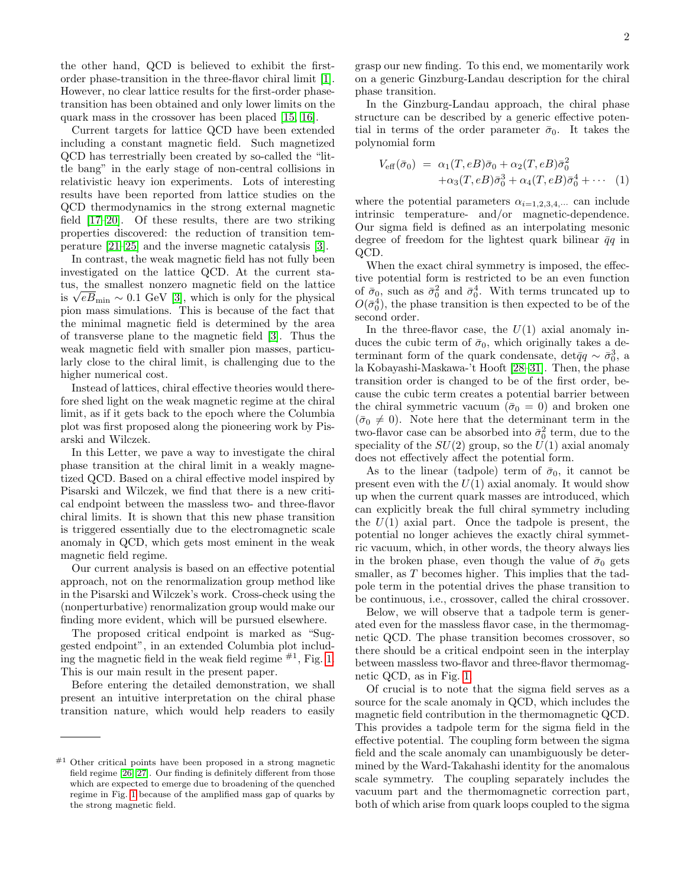the other hand, QCD is believed to exhibit the firstorder phase-transition in the three-flavor chiral limit [\[1\]](#page-4-0). However, no clear lattice results for the first-order phasetransition has been obtained and only lower limits on the quark mass in the crossover has been placed [\[15,](#page-4-7) [16\]](#page-4-8).

Current targets for lattice QCD have been extended including a constant magnetic field. Such magnetized QCD has terrestrially been created by so-called the "little bang" in the early stage of non-central collisions in relativistic heavy ion experiments. Lots of interesting results have been reported from lattice studies on the QCD thermodynamics in the strong external magnetic field [\[17](#page-4-9)[–20\]](#page-4-10). Of these results, there are two striking properties discovered: the reduction of transition temperature [\[21–](#page-4-11)[25\]](#page-4-12) and the inverse magnetic catalysis [\[3\]](#page-4-2).

In contrast, the weak magnetic field has not fully been investigated on the lattice QCD. At the current status, the smallest nonzero magnetic field on the lattice tus, the smallest nonzero magnetic field on the lattice<br>is  $\sqrt{eB}_{\text{min}} \sim 0.1$  GeV [\[3\]](#page-4-2), which is only for the physical pion mass simulations. This is because of the fact that the minimal magnetic field is determined by the area of transverse plane to the magnetic field [\[3\]](#page-4-2). Thus the weak magnetic field with smaller pion masses, particularly close to the chiral limit, is challenging due to the higher numerical cost.

Instead of lattices, chiral effective theories would therefore shed light on the weak magnetic regime at the chiral limit, as if it gets back to the epoch where the Columbia plot was first proposed along the pioneering work by Pisarski and Wilczek.

In this Letter, we pave a way to investigate the chiral phase transition at the chiral limit in a weakly magnetized QCD. Based on a chiral effective model inspired by Pisarski and Wilczek, we find that there is a new critical endpoint between the massless two- and three-flavor chiral limits. It is shown that this new phase transition is triggered essentially due to the electromagnetic scale anomaly in QCD, which gets most eminent in the weak magnetic field regime.

Our current analysis is based on an effective potential approach, not on the renormalization group method like in the Pisarski and Wilczek's work. Cross-check using the (nonperturbative) renormalization group would make our finding more evident, which will be pursued elsewhere.

The proposed critical endpoint is marked as "Suggested endpoint", in an extended Columbia plot including the magnetic field in the weak field regime  $\#^1$ , Fig. [1.](#page-0-3) This is our main result in the present paper.

Before entering the detailed demonstration, we shall present an intuitive interpretation on the chiral phase transition nature, which would help readers to easily grasp our new finding. To this end, we momentarily work on a generic Ginzburg-Landau description for the chiral phase transition.

In the Ginzburg-Landau approach, the chiral phase structure can be described by a generic effective potential in terms of the order parameter  $\bar{\sigma}_0$ . It takes the polynomial form

<span id="page-1-0"></span>
$$
V_{\text{eff}}(\bar{\sigma}_0) = \alpha_1(T, eB)\bar{\sigma}_0 + \alpha_2(T, eB)\bar{\sigma}_0^2
$$
  
 
$$
+ \alpha_3(T, eB)\bar{\sigma}_0^3 + \alpha_4(T, eB)\bar{\sigma}_0^4 + \cdots
$$
 (1)

where the potential parameters  $\alpha_{i=1,2,3,4,...}$  can include intrinsic temperature- and/or magnetic-dependence. Our sigma field is defined as an interpolating mesonic degree of freedom for the lightest quark bilinear  $\bar{q}q$  in QCD.

When the exact chiral symmetry is imposed, the effective potential form is restricted to be an even function of  $\bar{\sigma}_0$ , such as  $\bar{\sigma}_0^2$  and  $\bar{\sigma}_0^4$ . With terms truncated up to  $O(\bar{\sigma}_0^4)$ , the phase transition is then expected to be of the second order.

In the three-flavor case, the  $U(1)$  axial anomaly induces the cubic term of  $\bar{\sigma}_0$ , which originally takes a determinant form of the quark condensate, det $\bar{q}q \sim \bar{\sigma}_0^3$ , a la Kobayashi-Maskawa-'t Hooft [\[28–](#page-5-2)[31\]](#page-5-3). Then, the phase transition order is changed to be of the first order, because the cubic term creates a potential barrier between the chiral symmetric vacuum ( $\bar{\sigma}_0 = 0$ ) and broken one  $(\bar{\sigma}_0 \neq 0)$ . Note here that the determinant term in the two-flavor case can be absorbed into  $\bar{\sigma}_0^2$  term, due to the speciality of the  $SU(2)$  group, so the  $U(1)$  axial anomaly does not effectively affect the potential form.

As to the linear (tadpole) term of  $\bar{\sigma}_0$ , it cannot be present even with the  $U(1)$  axial anomaly. It would show up when the current quark masses are introduced, which can explicitly break the full chiral symmetry including the  $U(1)$  axial part. Once the tadpole is present, the potential no longer achieves the exactly chiral symmetric vacuum, which, in other words, the theory always lies in the broken phase, even though the value of  $\bar{\sigma}_0$  gets smaller, as T becomes higher. This implies that the tadpole term in the potential drives the phase transition to be continuous, i.e., crossover, called the chiral crossover.

Below, we will observe that a tadpole term is generated even for the massless flavor case, in the thermomagnetic QCD. The phase transition becomes crossover, so there should be a critical endpoint seen in the interplay between massless two-flavor and three-flavor thermomagnetic QCD, as in Fig. [1.](#page-0-3)

Of crucial is to note that the sigma field serves as a source for the scale anomaly in QCD, which includes the magnetic field contribution in the thermomagnetic QCD. This provides a tadpole term for the sigma field in the effective potential. The coupling form between the sigma field and the scale anomaly can unambiguously be determined by the Ward-Takahashi identity for the anomalous scale symmetry. The coupling separately includes the vacuum part and the thermomagnetic correction part, both of which arise from quark loops coupled to the sigma

Other critical points have been proposed in a strong magnetic field regime [\[26,](#page-5-0) [27\]](#page-5-1). Our finding is definitely different from those which are expected to emerge due to broadening of the quenched regime in Fig. [1](#page-0-3) because of the amplified mass gap of quarks by the strong magnetic field.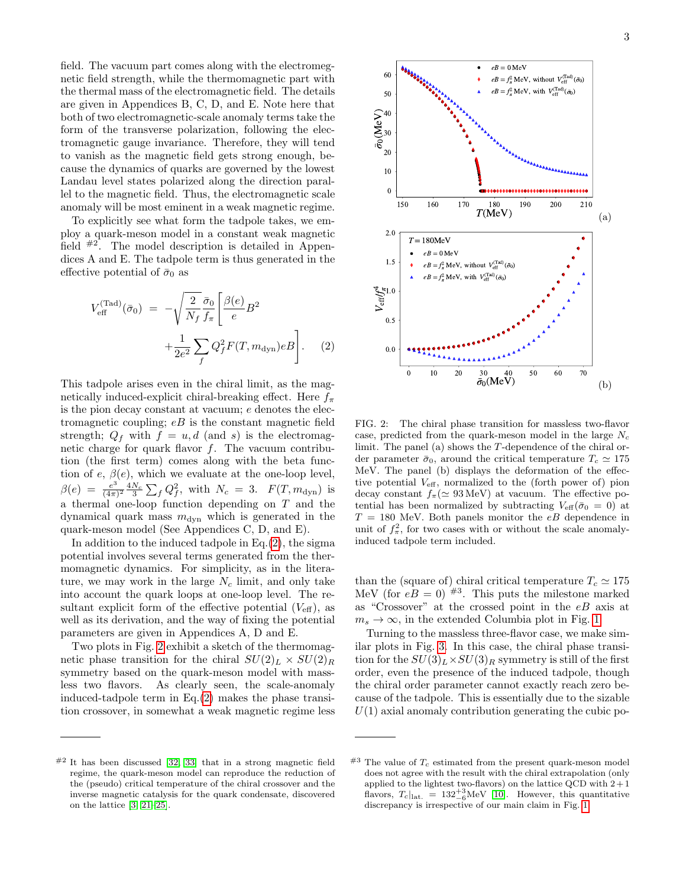field. The vacuum part comes along with the electromegnetic field strength, while the thermomagnetic part with the thermal mass of the electromagnetic field. The details are given in Appendices B, C, D, and E. Note here that both of two electromagnetic-scale anomaly terms take the form of the transverse polarization, following the electromagnetic gauge invariance. Therefore, they will tend to vanish as the magnetic field gets strong enough, because the dynamics of quarks are governed by the lowest Landau level states polarized along the direction parallel to the magnetic field. Thus, the electromagnetic scale anomaly will be most eminent in a weak magnetic regime.

To explicitly see what form the tadpole takes, we employ a quark-meson model in a constant weak magnetic field  $#2$ . The model description is detailed in Appendices A and E. The tadpole term is thus generated in the effective potential of  $\bar{\sigma}_0$  as

<span id="page-2-0"></span>
$$
V_{\text{eff}}^{(\text{Tad})}(\bar{\sigma}_0) = -\sqrt{\frac{2}{N_f}} \frac{\bar{\sigma}_0}{f_\pi} \left[ \frac{\beta(e)}{e} B^2 + \frac{1}{2e^2} \sum_f Q_f^2 F(T, m_{\text{dyn}}) e B \right].
$$
 (2)

This tadpole arises even in the chiral limit, as the magnetically induced-explicit chiral-breaking effect. Here  $f_{\pi}$ is the pion decay constant at vacuum; e denotes the electromagnetic coupling;  $eB$  is the constant magnetic field strength;  $Q_f$  with  $f = u, d$  (and s) is the electromagnetic charge for quark flavor  $f$ . The vacuum contribution (the first term) comes along with the beta function of  $e, \beta(e)$ , which we evaluate at the one-loop level,  $\beta(e) = \frac{e^3}{(4\pi)}$  $\frac{e^3}{(4\pi)^2} \frac{4N_c}{3} \sum_f Q_f^2$ , with  $N_c = 3$ .  $F(T, m_{dyn})$  is a thermal one-loop function depending on T and the dynamical quark mass  $m_{\text{dyn}}$  which is generated in the quark-meson model (See Appendices C, D, and E).

In addition to the induced tadpole in Eq. $(2)$ , the sigma potential involves several terms generated from the thermomagnetic dynamics. For simplicity, as in the literature, we may work in the large  $N_c$  limit, and only take into account the quark loops at one-loop level. The resultant explicit form of the effective potential  $(V_{\text{eff}})$ , as well as its derivation, and the way of fixing the potential parameters are given in Appendices A, D and E.

Two plots in Fig. [2](#page-2-1) exhibit a sketch of the thermomagnetic phase transition for the chiral  $SU(2)_L \times SU(2)_R$ symmetry based on the quark-meson model with massless two flavors. As clearly seen, the scale-anomaly induced-tadpole term in Eq.[\(2\)](#page-2-0) makes the phase transition crossover, in somewhat a weak magnetic regime less



<span id="page-2-1"></span>FIG. 2: The chiral phase transition for massless two-flavor case, predicted from the quark-meson model in the large  $N_c$ limit. The panel (a) shows the T-dependence of the chiral order parameter  $\bar{\sigma}_0$ , around the critical temperature  $T_c \simeq 175$ MeV. The panel (b) displays the deformation of the effective potential  $V_{\text{eff}}$ , normalized to the (forth power of) pion decay constant  $f_{\pi} (\simeq 93 \,\text{MeV})$  at vacuum. The effective potential has been normalized by subtracting  $V_{\text{eff}}(\bar{\sigma}_0 = 0)$  at  $T = 180$  MeV. Both panels monitor the  $eB$  dependence in unit of  $f_{\pi}^2$ , for two cases with or without the scale anomalyinduced tadpole term included.

than the (square of) chiral critical temperature  $T_c \simeq 175$ MeV (for  $eB = 0$ )  $^{#3}$ . This puts the milestone marked as "Crossover" at the crossed point in the  $eB$  axis at  $m_s \rightarrow \infty$ , in the extended Columbia plot in Fig. [1.](#page-0-3)

Turning to the massless three-flavor case, we make similar plots in Fig. [3.](#page-3-0) In this case, the chiral phase transition for the  $SU(3)_L \times SU(3)_R$  symmetry is still of the first order, even the presence of the induced tadpole, though the chiral order parameter cannot exactly reach zero because of the tadpole. This is essentially due to the sizable  $U(1)$  axial anomaly contribution generating the cubic po-

 $#2$  It has been discussed [\[32,](#page-5-4) [33\]](#page-5-5) that in a strong magnetic field regime, the quark-meson model can reproduce the reduction of the (pseudo) critical temperature of the chiral crossover and the inverse magnetic catalysis for the quark condensate, discovered on the lattice [\[3,](#page-4-2) [21](#page-4-11)[–25\]](#page-4-12).

 $#3$  The value of  $T_c$  estimated from the present quark-meson model does not agree with the result with the chiral extrapolation (only applied to the lightest two-flavors) on the lattice QCD with  $2+1$ flavors,  $T_c|_{\text{lat.}} = 132^{+3}_{-6} \text{MeV}$  [\[10\]](#page-4-13). However, this quantitative discrepancy is irrespective of our main claim in Fig. [1.](#page-0-3)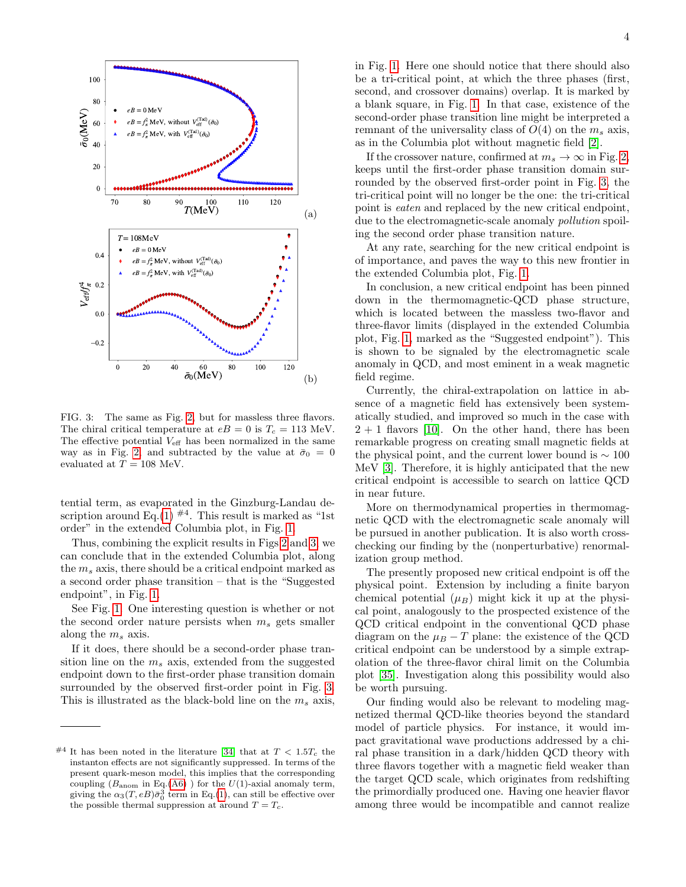

<span id="page-3-0"></span>FIG. 3: The same as Fig. [2,](#page-2-1) but for massless three flavors. The chiral critical temperature at  $eB = 0$  is  $T_c = 113$  MeV. The effective potential  $V_{\text{eff}}$  has been normalized in the same way as in Fig. [2,](#page-2-1) and subtracted by the value at  $\bar{\sigma}_0 = 0$ evaluated at  $T = 108$  MeV.

tential term, as evaporated in the Ginzburg-Landau de-scription around Eq.[\(1\)](#page-1-0)  $^{#4}$ . This result is marked as "1st order" in the extended Columbia plot, in Fig. [1.](#page-0-3)

Thus, combining the explicit results in Figs [2](#page-2-1) and [3,](#page-3-0) we can conclude that in the extended Columbia plot, along the  $m_s$  axis, there should be a critical endpoint marked as a second order phase transition – that is the "Suggested endpoint", in Fig. [1.](#page-0-3)

See Fig. [1.](#page-0-3) One interesting question is whether or not the second order nature persists when  $m_s$  gets smaller along the  $m_s$  axis.

If it does, there should be a second-order phase transition line on the  $m_s$  axis, extended from the suggested endpoint down to the first-order phase transition domain surrounded by the observed first-order point in Fig. [3.](#page-3-0) This is illustrated as the black-bold line on the  $m_s$  axis, in Fig. [1.](#page-0-3) Here one should notice that there should also be a tri-critical point, at which the three phases (first, second, and crossover domains) overlap. It is marked by a blank square, in Fig. [1.](#page-0-3) In that case, existence of the second-order phase transition line might be interpreted a remnant of the universality class of  $O(4)$  on the  $m_s$  axis, as in the Columbia plot without magnetic field [\[2\]](#page-4-1).

If the crossover nature, confirmed at  $m_s \to \infty$  in Fig. [2,](#page-2-1) keeps until the first-order phase transition domain surrounded by the observed first-order point in Fig. [3,](#page-3-0) the tri-critical point will no longer be the one: the tri-critical point is eaten and replaced by the new critical endpoint, due to the electromagnetic-scale anomaly *pollution* spoiling the second order phase transition nature.

At any rate, searching for the new critical endpoint is of importance, and paves the way to this new frontier in the extended Columbia plot, Fig. [1.](#page-0-3)

In conclusion, a new critical endpoint has been pinned down in the thermomagnetic-QCD phase structure, which is located between the massless two-flavor and three-flavor limits (displayed in the extended Columbia plot, Fig. [1,](#page-0-3) marked as the "Suggested endpoint"). This is shown to be signaled by the electromagnetic scale anomaly in QCD, and most eminent in a weak magnetic field regime.

Currently, the chiral-extrapolation on lattice in absence of a magnetic field has extensively been systematically studied, and improved so much in the case with  $2 + 1$  flavors [\[10\]](#page-4-13). On the other hand, there has been remarkable progress on creating small magnetic fields at the physical point, and the current lower bound is  $\sim 100$ MeV [\[3\]](#page-4-2). Therefore, it is highly anticipated that the new critical endpoint is accessible to search on lattice QCD in near future.

More on thermodynamical properties in thermomagnetic QCD with the electromagnetic scale anomaly will be pursued in another publication. It is also worth crosschecking our finding by the (nonperturbative) renormalization group method.

The presently proposed new critical endpoint is off the physical point. Extension by including a finite baryon chemical potential  $(\mu_B)$  might kick it up at the physical point, analogously to the prospected existence of the QCD critical endpoint in the conventional QCD phase diagram on the  $\mu_B - T$  plane: the existence of the QCD critical endpoint can be understood by a simple extrapolation of the three-flavor chiral limit on the Columbia plot [\[35\]](#page-5-7). Investigation along this possibility would also be worth pursuing.

Our finding would also be relevant to modeling magnetized thermal QCD-like theories beyond the standard model of particle physics. For instance, it would impact gravitational wave productions addressed by a chiral phase transition in a dark/hidden QCD theory with three flavors together with a magnetic field weaker than the target QCD scale, which originates from redshifting the primordially produced one. Having one heavier flavor among three would be incompatible and cannot realize

<sup>&</sup>lt;sup>#4</sup> It has been noted in the literature [\[34\]](#page-5-6) that at  $T < 1.5T_c$  the instanton effects are not significantly suppressed. In terms of the present quark-meson model, this implies that the corresponding coupling ( $B_{\text{anom}}$  in Eq.[\(A6\)](#page-6-0)) for the  $U(1)$ -axial anomaly term, giving the  $\alpha_3(T, eB)\bar{\sigma}_0^3$  term in Eq.[\(1\)](#page-1-0), can still be effective over the possible thermal suppression at around  $T = T_c$ .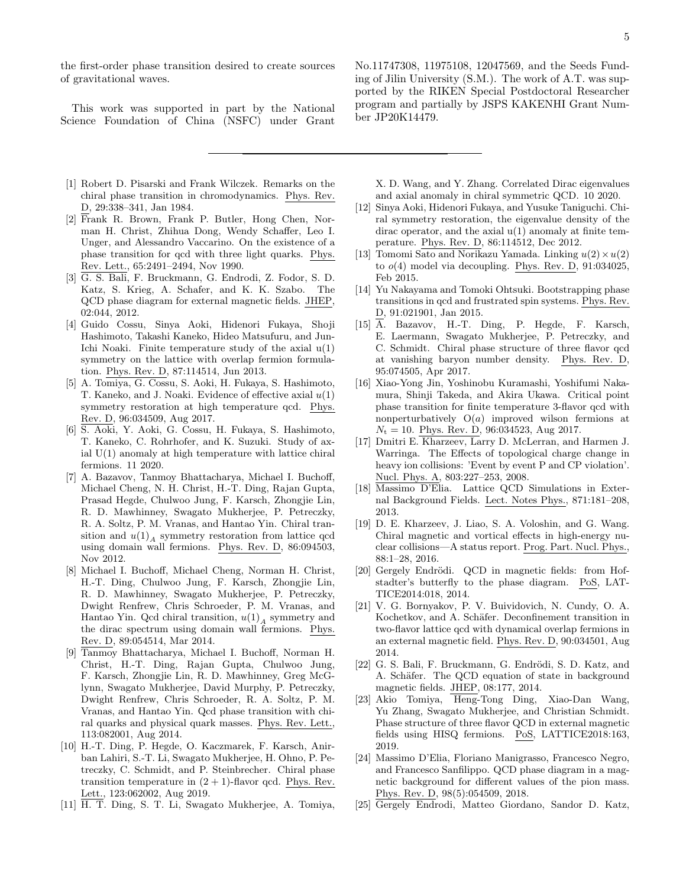the first-order phase transition desired to create sources of gravitational waves.

This work was supported in part by the National Science Foundation of China (NSFC) under Grant No.11747308, 11975108, 12047569, and the Seeds Funding of Jilin University (S.M.). The work of A.T. was supported by the RIKEN Special Postdoctoral Researcher program and partially by JSPS KAKENHI Grant Number JP20K14479.

- <span id="page-4-0"></span>[1] Robert D. Pisarski and Frank Wilczek. Remarks on the chiral phase transition in chromodynamics. Phys. Rev. D, 29:338–341, Jan 1984.
- <span id="page-4-1"></span>[2] Frank R. Brown, Frank P. Butler, Hong Chen, Norman H. Christ, Zhihua Dong, Wendy Schaffer, Leo I. Unger, and Alessandro Vaccarino. On the existence of a phase transition for qcd with three light quarks. Phys. Rev. Lett., 65:2491–2494, Nov 1990.
- <span id="page-4-2"></span>[3] G. S. Bali, F. Bruckmann, G. Endrodi, Z. Fodor, S. D. Katz, S. Krieg, A. Schafer, and K. K. Szabo. The QCD phase diagram for external magnetic fields. JHEP, 02:044, 2012.
- <span id="page-4-3"></span>[4] Guido Cossu, Sinya Aoki, Hidenori Fukaya, Shoji Hashimoto, Takashi Kaneko, Hideo Matsufuru, and Jun-Ichi Noaki. Finite temperature study of the axial  $u(1)$ symmetry on the lattice with overlap fermion formulation. Phys. Rev. D, 87:114514, Jun 2013.
- [5] A. Tomiya, G. Cossu, S. Aoki, H. Fukaya, S. Hashimoto, T. Kaneko, and J. Noaki. Evidence of effective axial  $u(1)$ symmetry restoration at high temperature qcd. Phys. Rev. D, 96:034509, Aug 2017.
- [6] S. Aoki, Y. Aoki, G. Cossu, H. Fukaya, S. Hashimoto, T. Kaneko, C. Rohrhofer, and K. Suzuki. Study of axial  $U(1)$  anomaly at high temperature with lattice chiral fermions. 11 2020.
- [7] A. Bazavov, Tanmoy Bhattacharya, Michael I. Buchoff, Michael Cheng, N. H. Christ, H.-T. Ding, Rajan Gupta, Prasad Hegde, Chulwoo Jung, F. Karsch, Zhongjie Lin, R. D. Mawhinney, Swagato Mukherjee, P. Petreczky, R. A. Soltz, P. M. Vranas, and Hantao Yin. Chiral transition and  $u(1)<sub>A</sub>$  symmetry restoration from lattice qcd using domain wall fermions. Phys. Rev. D, 86:094503, Nov 2012.
- [8] Michael I. Buchoff, Michael Cheng, Norman H. Christ, H.-T. Ding, Chulwoo Jung, F. Karsch, Zhongjie Lin, R. D. Mawhinney, Swagato Mukherjee, P. Petreczky, Dwight Renfrew, Chris Schroeder, P. M. Vranas, and Hantao Yin. Qcd chiral transition,  $u(1)_A$  symmetry and the dirac spectrum using domain wall fermions. Phys. Rev. D, 89:054514, Mar 2014.
- [9] Tanmoy Bhattacharya, Michael I. Buchoff, Norman H. Christ, H.-T. Ding, Rajan Gupta, Chulwoo Jung, F. Karsch, Zhongjie Lin, R. D. Mawhinney, Greg McGlynn, Swagato Mukherjee, David Murphy, P. Petreczky, Dwight Renfrew, Chris Schroeder, R. A. Soltz, P. M. Vranas, and Hantao Yin. Qcd phase transition with chiral quarks and physical quark masses. Phys. Rev. Lett., 113:082001, Aug 2014.
- <span id="page-4-13"></span>[10] H.-T. Ding, P. Hegde, O. Kaczmarek, F. Karsch, Anirban Lahiri, S.-T. Li, Swagato Mukherjee, H. Ohno, P. Petreczky, C. Schmidt, and P. Steinbrecher. Chiral phase transition temperature in  $(2 + 1)$ -flavor qcd. Phys. Rev. Lett., 123:062002, Aug 2019.
- <span id="page-4-4"></span>[11] H. T. Ding, S. T. Li, Swagato Mukherjee, A. Tomiya,

X. D. Wang, and Y. Zhang. Correlated Dirac eigenvalues and axial anomaly in chiral symmetric QCD. 10 2020.

- <span id="page-4-5"></span>[12] Sinya Aoki, Hidenori Fukaya, and Yusuke Taniguchi. Chiral symmetry restoration, the eigenvalue density of the dirac operator, and the axial u(1) anomaly at finite temperature. Phys. Rev. D, 86:114512, Dec 2012.
- [13] Tomomi Sato and Norikazu Yamada. Linking  $u(2) \times u(2)$ to  $o(4)$  model via decoupling. Phys. Rev. D,  $91:034025$ , Feb 2015.
- <span id="page-4-6"></span>[14] Yu Nakayama and Tomoki Ohtsuki. Bootstrapping phase transitions in qcd and frustrated spin systems. Phys. Rev. D, 91:021901, Jan 2015.
- <span id="page-4-7"></span>[15] A. Bazavov, H.-T. Ding, P. Hegde, F. Karsch, E. Laermann, Swagato Mukherjee, P. Petreczky, and C. Schmidt. Chiral phase structure of three flavor qcd at vanishing baryon number density. Phys. Rev. D, 95:074505, Apr 2017.
- <span id="page-4-8"></span>[16] Xiao-Yong Jin, Yoshinobu Kuramashi, Yoshifumi Nakamura, Shinji Takeda, and Akira Ukawa. Critical point phase transition for finite temperature 3-flavor qcd with nonperturbatively  $O(a)$  improved wilson fermions at  $N_t = 10$ . Phys. Rev. D, 96:034523, Aug 2017.
- <span id="page-4-9"></span>[17] Dmitri E. Kharzeev, Larry D. McLerran, and Harmen J. Warringa. The Effects of topological charge change in heavy ion collisions: 'Event by event P and CP violation'. Nucl. Phys. A, 803:227–253, 2008.
- [18] Massimo D'Elia. Lattice QCD Simulations in External Background Fields. Lect. Notes Phys., 871:181–208, 2013.
- [19] D. E. Kharzeev, J. Liao, S. A. Voloshin, and G. Wang. Chiral magnetic and vortical effects in high-energy nuclear collisions—A status report. Prog. Part. Nucl. Phys., 88:1–28, 2016.
- <span id="page-4-10"></span>[20] Gergely Endrödi. QCD in magnetic fields: from Hofstadter's butterfly to the phase diagram. PoS, LAT-TICE2014:018, 2014.
- <span id="page-4-11"></span>[21] V. G. Bornyakov, P. V. Buividovich, N. Cundy, O. A. Kochetkov, and A. Schäfer. Deconfinement transition in two-flavor lattice qcd with dynamical overlap fermions in an external magnetic field. Phys. Rev. D, 90:034501, Aug 2014.
- [22] G. S. Bali, F. Bruckmann, G. Endrödi, S. D. Katz, and A. Schäfer. The QCD equation of state in background magnetic fields. JHEP, 08:177, 2014.
- [23] Akio Tomiya, Heng-Tong Ding, Xiao-Dan Wang, Yu Zhang, Swagato Mukherjee, and Christian Schmidt. Phase structure of three flavor QCD in external magnetic fields using HISQ fermions. PoS, LATTICE2018:163, 2019.
- [24] Massimo D'Elia, Floriano Manigrasso, Francesco Negro, and Francesco Sanfilippo. QCD phase diagram in a magnetic background for different values of the pion mass. Phys. Rev. D, 98(5):054509, 2018.
- <span id="page-4-12"></span>[25] Gergely Endrodi, Matteo Giordano, Sandor D. Katz,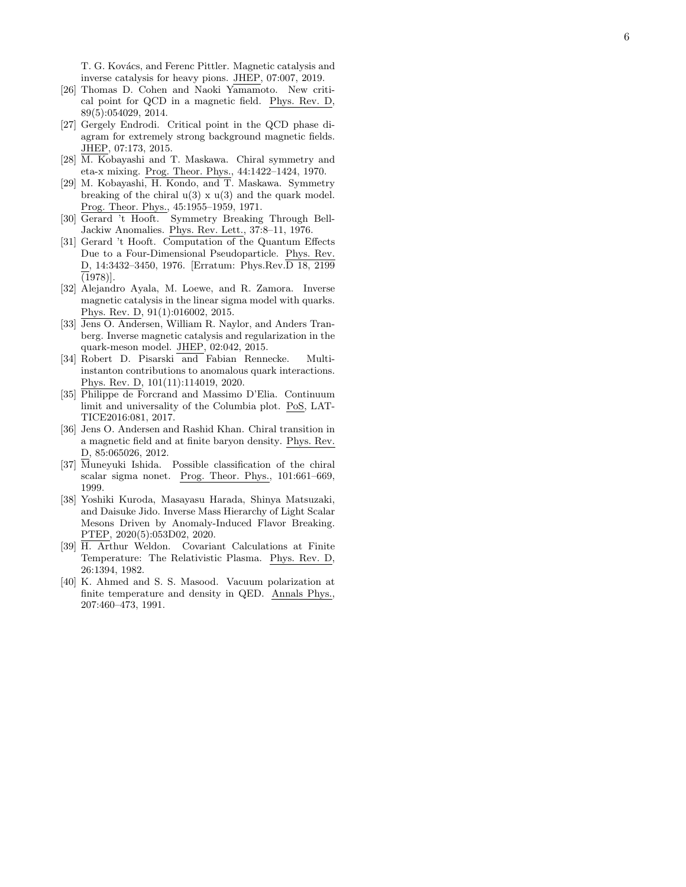T. G. Kovács, and Ferenc Pittler. Magnetic catalysis and inverse catalysis for heavy pions. JHEP, 07:007, 2019.

- <span id="page-5-0"></span>[26] Thomas D. Cohen and Naoki Yamamoto. New critical point for QCD in a magnetic field. Phys. Rev. D, 89(5):054029, 2014.
- <span id="page-5-1"></span>[27] Gergely Endrodi. Critical point in the QCD phase diagram for extremely strong background magnetic fields. JHEP, 07:173, 2015.
- <span id="page-5-2"></span>[28] M. Kobayashi and T. Maskawa. Chiral symmetry and eta-x mixing. Prog. Theor. Phys., 44:1422–1424, 1970.
- [29] M. Kobayashi, H. Kondo, and T. Maskawa. Symmetry breaking of the chiral  $u(3) \times u(3)$  and the quark model. Prog. Theor. Phys., 45:1955–1959, 1971.
- [30] Gerard 't Hooft. Symmetry Breaking Through Bell-Jackiw Anomalies. Phys. Rev. Lett., 37:8–11, 1976.
- <span id="page-5-3"></span>[31] Gerard 't Hooft. Computation of the Quantum Effects Due to a Four-Dimensional Pseudoparticle. Phys. Rev. D, 14:3432–3450, 1976. [Erratum: Phys.Rev.D 18, 2199  $(1978)$ .
- <span id="page-5-4"></span>[32] Alejandro Ayala, M. Loewe, and R. Zamora. Inverse magnetic catalysis in the linear sigma model with quarks. Phys. Rev. D, 91(1):016002, 2015.
- <span id="page-5-5"></span>[33] Jens O. Andersen, William R. Naylor, and Anders Tranberg. Inverse magnetic catalysis and regularization in the quark-meson model. JHEP, 02:042, 2015.
- <span id="page-5-6"></span>[34] Robert D. Pisarski and Fabian Rennecke. Multiinstanton contributions to anomalous quark interactions. Phys. Rev. D, 101(11):114019, 2020.
- <span id="page-5-7"></span>[35] Philippe de Forcrand and Massimo D'Elia. Continuum limit and universality of the Columbia plot. PoS, LAT-TICE2016:081, 2017.
- <span id="page-5-8"></span>[36] Jens O. Andersen and Rashid Khan. Chiral transition in a magnetic field and at finite baryon density. Phys. Rev. D, 85:065026, 2012.
- <span id="page-5-9"></span>[37] Muneyuki Ishida. Possible classification of the chiral scalar sigma nonet. Prog. Theor. Phys., 101:661–669, 1999.
- <span id="page-5-10"></span>[38] Yoshiki Kuroda, Masayasu Harada, Shinya Matsuzaki, and Daisuke Jido. Inverse Mass Hierarchy of Light Scalar Mesons Driven by Anomaly-Induced Flavor Breaking. PTEP, 2020(5):053D02, 2020.
- <span id="page-5-11"></span>[39] H. Arthur Weldon. Covariant Calculations at Finite Temperature: The Relativistic Plasma. Phys. Rev. D, 26:1394, 1982.
- <span id="page-5-12"></span>[40] K. Ahmed and S. S. Masood. Vacuum polarization at finite temperature and density in QED. Annals Phys., 207:460–473, 1991.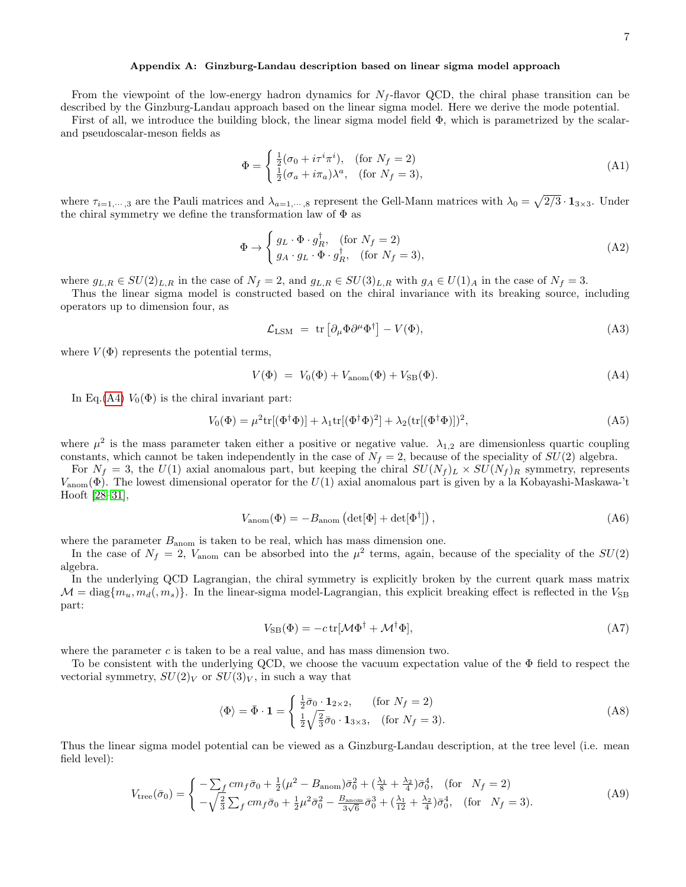## Appendix A: Ginzburg-Landau description based on linear sigma model approach

From the viewpoint of the low-energy hadron dynamics for  $N_f$ -flavor QCD, the chiral phase transition can be described by the Ginzburg-Landau approach based on the linear sigma model. Here we derive the mode potential.

First of all, we introduce the building block, the linear sigma model field Φ, which is parametrized by the scalarand pseudoscalar-meson fields as

$$
\Phi = \begin{cases} \frac{1}{2}(\sigma_0 + i\tau^i \pi^i), & \text{(for } N_f = 2) \\ \frac{1}{2}(\sigma_a + i\pi_a)\lambda^a, & \text{(for } N_f = 3), \end{cases} \tag{A1}
$$

where  $\tau_{i=1,\dots,3}$  are the Pauli matrices and  $\lambda_{a=1,\dots,8}$  represent the Gell-Mann matrices with  $\lambda_0 = \sqrt{2/3} \cdot \mathbf{1}_{3 \times 3}$ . Under the chiral symmetry we define the transformation law of  $\Phi$  as

$$
\Phi \to \begin{cases} g_L \cdot \Phi \cdot g_R^{\dagger}, & \text{(for } N_f = 2) \\ g_A \cdot g_L \cdot \Phi \cdot g_R^{\dagger}, & \text{(for } N_f = 3), \end{cases}
$$
\n(A2)

where  $g_{L,R} \in SU(2)_{L,R}$  in the case of  $N_f = 2$ , and  $g_{L,R} \in SU(3)_{L,R}$  with  $g_A \in U(1)_A$  in the case of  $N_f = 3$ .

Thus the linear sigma model is constructed based on the chiral invariance with its breaking source, including operators up to dimension four, as

$$
\mathcal{L}_{\text{LSM}} = \text{tr} \left[ \partial_{\mu} \Phi \partial^{\mu} \Phi^{\dagger} \right] - V(\Phi), \tag{A3}
$$

where  $V(\Phi)$  represents the potential terms,

<span id="page-6-1"></span>
$$
V(\Phi) = V_0(\Phi) + V_{\text{anom}}(\Phi) + V_{\text{SB}}(\Phi). \tag{A4}
$$

In Eq.[\(A4\)](#page-6-1)  $V_0(\Phi)$  is the chiral invariant part:

$$
V_0(\Phi) = \mu^2 \text{tr}[(\Phi^\dagger \Phi)] + \lambda_1 \text{tr}[(\Phi^\dagger \Phi)^2] + \lambda_2 (\text{tr}[(\Phi^\dagger \Phi)])^2,
$$
 (A5)

where  $\mu^2$  is the mass parameter taken either a positive or negative value.  $\lambda_{1,2}$  are dimensionless quartic coupling constants, which cannot be taken independently in the case of  $N_f = 2$ , because of the speciality of  $SU(2)$  algebra.

For  $N_f = 3$ , the  $U(1)$  axial anomalous part, but keeping the chiral  $SU(N_f)_L \times SU(N_f)_R$  symmetry, represents  $V_{\text{anom}}(\Phi)$ . The lowest dimensional operator for the  $U(1)$  axial anomalous part is given by a la Kobayashi-Maskawa-'t Hooft [\[28–](#page-5-2)[31\]](#page-5-3),

<span id="page-6-0"></span>
$$
V_{\text{anom}}(\Phi) = -B_{\text{anom}} \left( \det[\Phi] + \det[\Phi^{\dagger}] \right),\tag{A6}
$$

where the parameter  $B_{\text{anom}}$  is taken to be real, which has mass dimension one.

In the case of  $N_f = 2$ ,  $V_{\text{anom}}$  can be absorbed into the  $\mu^2$  terms, again, because of the speciality of the  $SU(2)$ algebra.

In the underlying QCD Lagrangian, the chiral symmetry is explicitly broken by the current quark mass matrix  $\mathcal{M} = \text{diag}\{m_u, m_d, m_s\}$ . In the linear-sigma model-Lagrangian, this explicit breaking effect is reflected in the  $V_{\text{SB}}$ part:

$$
V_{\rm SB}(\Phi) = -c \,\text{tr}[\mathcal{M}\Phi^{\dagger} + \mathcal{M}^{\dagger}\Phi],\tag{A7}
$$

where the parameter  $c$  is taken to be a real value, and has mass dimension two.

To be consistent with the underlying QCD, we choose the vacuum expectation value of the Φ field to respect the vectorial symmetry,  $SU(2)_V$  or  $SU(3)_V$ , in such a way that

$$
\langle \Phi \rangle = \bar{\Phi} \cdot \mathbf{1} = \begin{cases} \frac{1}{2}\bar{\sigma}_0 \cdot \mathbf{1}_{2 \times 2}, & \text{(for } N_f = 2) \\ \frac{1}{2}\sqrt{\frac{2}{3}}\bar{\sigma}_0 \cdot \mathbf{1}_{3 \times 3}, & \text{(for } N_f = 3). \end{cases}
$$
(A8)

Thus the linear sigma model potential can be viewed as a Ginzburg-Landau description, at the tree level (i.e. mean field level):

<span id="page-6-2"></span>
$$
V_{\text{tree}}(\bar{\sigma}_0) = \begin{cases} -\sum_f c m_f \bar{\sigma}_0 + \frac{1}{2} (\mu^2 - B_{\text{anom}}) \bar{\sigma}_0^2 + (\frac{\lambda_1}{8} + \frac{\lambda_2}{4}) \bar{\sigma}_0^4, & \text{(for } N_f = 2) \\ -\sqrt{\frac{2}{3}} \sum_f c m_f \bar{\sigma}_0 + \frac{1}{2} \mu^2 \bar{\sigma}_0^2 - \frac{B_{\text{anom}}}{3\sqrt{6}} \bar{\sigma}_0^3 + (\frac{\lambda_1}{12} + \frac{\lambda_2}{4}) \bar{\sigma}_0^4, & \text{(for } N_f = 3). \end{cases} (A9)
$$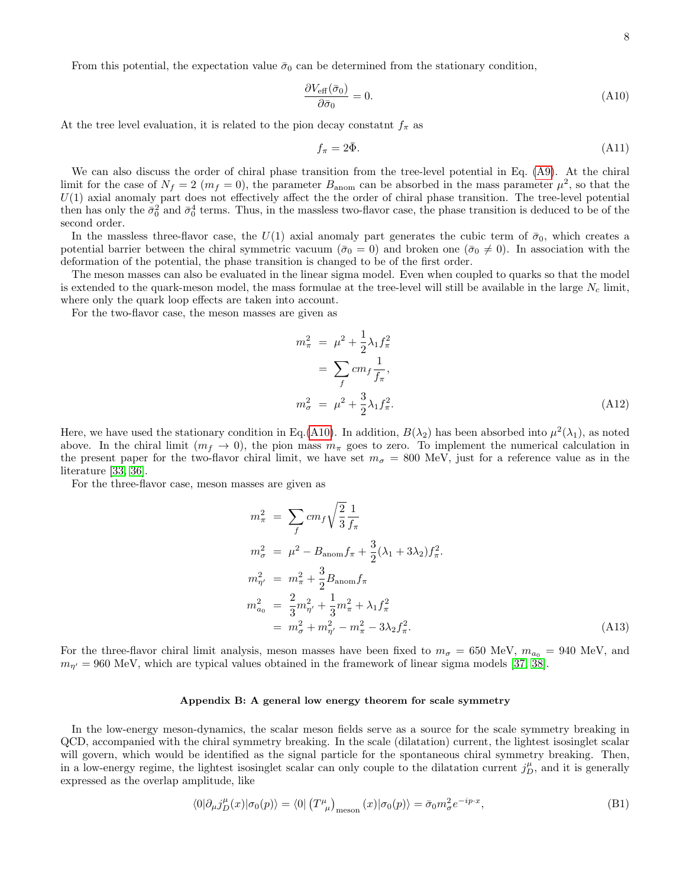From this potential, the expectation value  $\bar{\sigma}_0$  can be determined from the stationary condition,

<span id="page-7-0"></span>
$$
\frac{\partial V_{\text{eff}}(\bar{\sigma}_0)}{\partial \bar{\sigma}_0} = 0. \tag{A10}
$$

At the tree level evaluation, it is related to the pion decay constatnt  $f_{\pi}$  as

$$
f_{\pi} = 2\bar{\Phi}.\tag{A11}
$$

We can also discuss the order of chiral phase transition from the tree-level potential in Eq. [\(A9\)](#page-6-2). At the chiral limit for the case of  $N_f = 2$  ( $m_f = 0$ ), the parameter  $B_{\text{anom}}$  can be absorbed in the mass parameter  $\mu^2$ , so that the  $U(1)$  axial anomaly part does not effectively affect the the order of chiral phase transition. The tree-level potential then has only the  $\bar{\sigma}_0^2$  and  $\bar{\sigma}_0^4$  terms. Thus, in the massless two-flavor case, the phase transition is deduced to be of the second order.

In the massless three-flavor case, the  $U(1)$  axial anomaly part generates the cubic term of  $\bar{\sigma}_0$ , which creates a potential barrier between the chiral symmetric vacuum ( $\bar{\sigma}_0 = 0$ ) and broken one ( $\bar{\sigma}_0 \neq 0$ ). In association with the deformation of the potential, the phase transition is changed to be of the first order.

The meson masses can also be evaluated in the linear sigma model. Even when coupled to quarks so that the model is extended to the quark-meson model, the mass formulae at the tree-level will still be available in the large  $N_c$  limit, where only the quark loop effects are taken into account.

For the two-flavor case, the meson masses are given as

$$
m_{\pi}^{2} = \mu^{2} + \frac{1}{2}\lambda_{1}f_{\pi}^{2}
$$
  
= 
$$
\sum_{f} cm_{f} \frac{1}{f_{\pi}},
$$
  

$$
m_{\sigma}^{2} = \mu^{2} + \frac{3}{2}\lambda_{1}f_{\pi}^{2}.
$$
 (A12)

Here, we have used the stationary condition in Eq.[\(A10\)](#page-7-0). In addition,  $B(\lambda_2)$  has been absorbed into  $\mu^2(\lambda_1)$ , as noted above. In the chiral limit  $(m_f \to 0)$ , the pion mass  $m_\pi$  goes to zero. To implement the numerical calculation in the present paper for the two-flavor chiral limit, we have set  $m_{\sigma} = 800$  MeV, just for a reference value as in the literature [\[33,](#page-5-5) [36\]](#page-5-8).

For the three-flavor case, meson masses are given as

$$
m_{\pi}^{2} = \sum_{f} cm_{f} \sqrt{\frac{2}{3}} \frac{1}{f_{\pi}}
$$
  
\n
$$
m_{\sigma}^{2} = \mu^{2} - B_{\text{anom}} f_{\pi} + \frac{3}{2} (\lambda_{1} + 3\lambda_{2}) f_{\pi}^{2}.
$$
  
\n
$$
m_{\eta'}^{2} = m_{\pi}^{2} + \frac{3}{2} B_{\text{anom}} f_{\pi}
$$
  
\n
$$
m_{a_{0}}^{2} = \frac{2}{3} m_{\eta'}^{2} + \frac{1}{3} m_{\pi}^{2} + \lambda_{1} f_{\pi}^{2}
$$
  
\n
$$
= m_{\sigma}^{2} + m_{\eta'}^{2} - m_{\pi}^{2} - 3\lambda_{2} f_{\pi}^{2}.
$$
\n(A13)

For the three-flavor chiral limit analysis, meson masses have been fixed to  $m_{\sigma} = 650$  MeV,  $m_{a_0} = 940$  MeV, and  $m_{\eta'}=960$  MeV, which are typical values obtained in the framework of linear sigma models [\[37,](#page-5-9) [38\]](#page-5-10).

## Appendix B: A general low energy theorem for scale symmetry

In the low-energy meson-dynamics, the scalar meson fields serve as a source for the scale symmetry breaking in QCD, accompanied with the chiral symmetry breaking. In the scale (dilatation) current, the lightest isosinglet scalar will govern, which would be identified as the signal particle for the spontaneous chiral symmetry breaking. Then, in a low-energy regime, the lightest isosinglet scalar can only couple to the dilatation current  $j_D^{\mu}$ , and it is generally expressed as the overlap amplitude, like

<span id="page-7-1"></span>
$$
\langle 0|\partial_{\mu}j_{D}^{\mu}(x)|\sigma_{0}(p)\rangle = \langle 0|\left(T^{\mu}_{\ \mu}\right)_{\text{meson}}(x)|\sigma_{0}(p)\rangle = \bar{\sigma}_{0}m_{\sigma}^{2}e^{-ip\cdot x},\tag{B1}
$$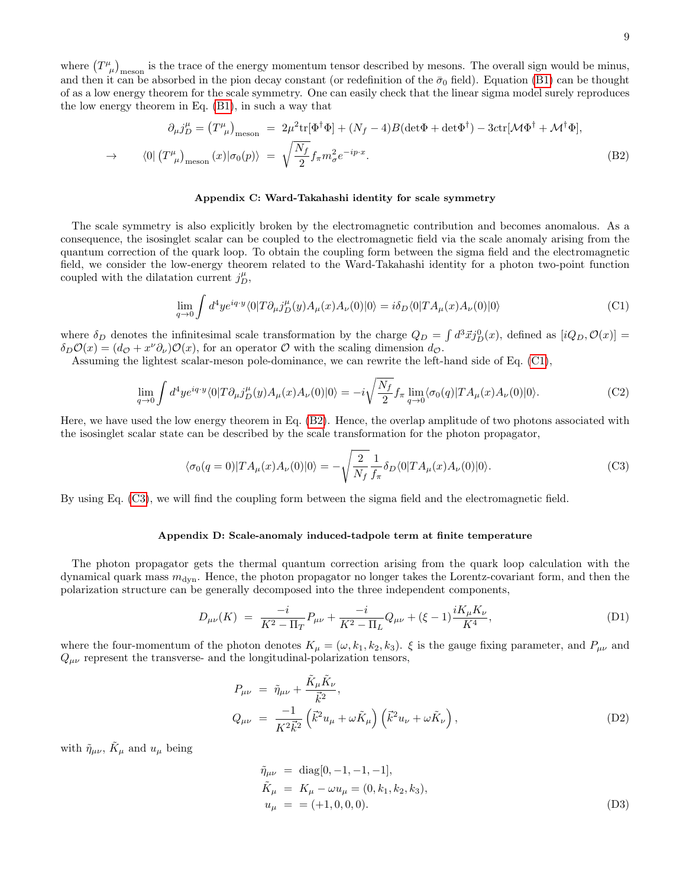where  $(T^{\mu}_{\mu})_{\text{meson}}$  is the trace of the energy momentum tensor described by mesons. The overall sign would be minus, and then it can be absorbed in the pion decay constant (or redefinition of the  $\bar{\sigma}_0$  field). Equation [\(B1\)](#page-7-1) can be thought of as a low energy theorem for the scale symmetry. One can easily check that the linear sigma model surely reproduces the low energy theorem in Eq. [\(B1\)](#page-7-1), in such a way that

<span id="page-8-1"></span>
$$
\partial_{\mu}j_{D}^{\mu} = (T^{\mu}_{\ \mu})_{\text{meson}} = 2\mu^{2}\text{tr}[\Phi^{\dagger}\Phi] + (N_{f} - 4)B(\det\Phi + \det\Phi^{\dagger}) - 3\text{ctr}[\mathcal{M}\Phi^{\dagger} + \mathcal{M}^{\dagger}\Phi],
$$
  

$$
\rightarrow \qquad \langle 0 | (T^{\mu}_{\ \mu})_{\text{meson}} (x) | \sigma_{0}(p) \rangle = \sqrt{\frac{N_{f}}{2}} f_{\pi} m_{\sigma}^{2} e^{-ip\cdot x}.
$$
 (B2)

#### Appendix C: Ward-Takahashi identity for scale symmetry

The scale symmetry is also explicitly broken by the electromagnetic contribution and becomes anomalous. As a consequence, the isosinglet scalar can be coupled to the electromagnetic field via the scale anomaly arising from the quantum correction of the quark loop. To obtain the coupling form between the sigma field and the electromagnetic field, we consider the low-energy theorem related to the Ward-Takahashi identity for a photon two-point function coupled with the dilatation current  $j_D^{\mu}$ ,

<span id="page-8-0"></span>
$$
\lim_{q \to 0} \int d^4 y e^{iq \cdot y} \langle 0 | T \partial_\mu j_D^\mu(y) A_\mu(x) A_\nu(0) | 0 \rangle = i \delta_D \langle 0 | T A_\mu(x) A_\nu(0) | 0 \rangle \tag{C1}
$$

where  $\delta_D$  denotes the infinitesimal scale transformation by the charge  $Q_D = \int d^3 \vec{x} j_D^0(x)$ , defined as  $[iQ_D, \mathcal{O}(x)] =$  $\delta_D \mathcal{O}(x) = (d_{\mathcal{O}} + x^{\nu} \partial_{\nu}) \mathcal{O}(x)$ , for an operator  $\mathcal O$  with the scaling dimension  $d_{\mathcal{O}}$ .

Assuming the lightest scalar-meson pole-dominance, we can rewrite the left-hand side of Eq. [\(C1\)](#page-8-0),

$$
\lim_{q \to 0} \int d^4 y e^{iq \cdot y} \langle 0| T \partial_\mu j_D^\mu(y) A_\mu(x) A_\nu(0) |0\rangle = -i \sqrt{\frac{N_f}{2}} f_\pi \lim_{q \to 0} \langle \sigma_0(q) | T A_\mu(x) A_\nu(0) |0\rangle. \tag{C2}
$$

Here, we have used the low energy theorem in Eq. [\(B2\)](#page-8-1). Hence, the overlap amplitude of two photons associated with the isosinglet scalar state can be described by the scale transformation for the photon propagator,

<span id="page-8-2"></span>
$$
\langle \sigma_0(q=0)|TA_\mu(x)A_\nu(0)|0\rangle = -\sqrt{\frac{2}{N_f}} \frac{1}{f_\pi} \delta_D \langle 0|TA_\mu(x)A_\nu(0)|0\rangle. \tag{C3}
$$

By using Eq. [\(C3\)](#page-8-2), we will find the coupling form between the sigma field and the electromagnetic field.

## Appendix D: Scale-anomaly induced-tadpole term at finite temperature

The photon propagator gets the thermal quantum correction arising from the quark loop calculation with the dynamical quark mass  $m_{dyn}$ . Hence, the photon propagator no longer takes the Lorentz-covariant form, and then the polarization structure can be generally decomposed into the three independent components,

$$
D_{\mu\nu}(K) = \frac{-i}{K^2 - \Pi_T} P_{\mu\nu} + \frac{-i}{K^2 - \Pi_L} Q_{\mu\nu} + (\xi - 1) \frac{i K_\mu K_\nu}{K^4},
$$
\n(D1)

where the four-momentum of the photon denotes  $K_{\mu} = (\omega, k_1, k_2, k_3)$ .  $\xi$  is the gauge fixing parameter, and  $P_{\mu\nu}$  and  $Q_{\mu\nu}$  represent the transverse- and the longitudinal-polarization tensors,

$$
P_{\mu\nu} = \tilde{\eta}_{\mu\nu} + \frac{\tilde{K}_{\mu}\tilde{K}_{\nu}}{\vec{k}^{2}},
$$
  
\n
$$
Q_{\mu\nu} = \frac{-1}{K^{2}\vec{k}^{2}} \left(\vec{k}^{2}u_{\mu} + \omega\tilde{K}_{\mu}\right) \left(\vec{k}^{2}u_{\nu} + \omega\tilde{K}_{\nu}\right),
$$
\n(D2)

with  $\tilde{\eta}_{\mu\nu}$ ,  $\tilde{K}_{\mu}$  and  $u_{\mu}$  being

$$
\tilde{\eta}_{\mu\nu} = \text{diag}[0, -1, -1, -1], \n\tilde{K}_{\mu} = K_{\mu} - \omega u_{\mu} = (0, k_1, k_2, k_3), \nu_{\mu} = = (+1, 0, 0, 0). \tag{D3}
$$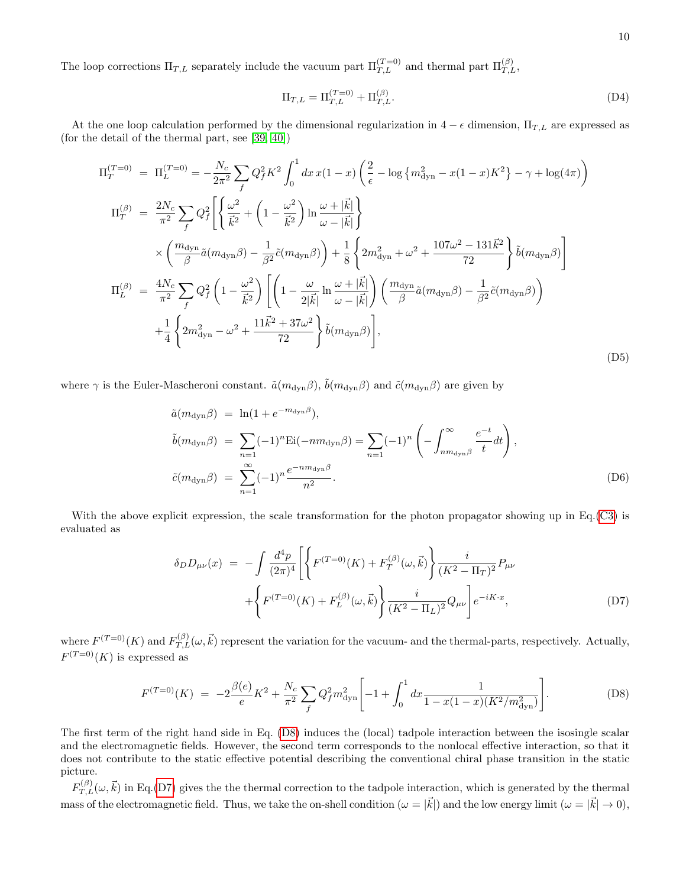The loop corrections  $\Pi_{T,L}$  separately include the vacuum part  $\Pi_{T,L}^{(T=0)}$  and thermal part  $\Pi_{T,L}^{(\beta)}$ ,

$$
\Pi_{T,L} = \Pi_{T,L}^{(T=0)} + \Pi_{T,L}^{(\beta)}.
$$
\n(D4)

At the one loop calculation performed by the dimensional regularization in  $4 - \epsilon$  dimension,  $\Pi_{T,L}$  are expressed as (for the detail of the thermal part, see [\[39,](#page-5-11) [40\]](#page-5-12))

$$
\Pi_{T}^{(T=0)} = \Pi_{L}^{(T=0)} = -\frac{N_{c}}{2\pi^{2}} \sum_{f} Q_{f}^{2} K^{2} \int_{0}^{1} dx \, x(1-x) \left(\frac{2}{\epsilon} - \log\{m_{\text{dyn}}^{2} - x(1-x)K^{2}\} - \gamma + \log(4\pi)\right) \n\Pi_{T}^{(\beta)} = \frac{2N_{c}}{\pi^{2}} \sum_{f} Q_{f}^{2} \left[ \left\{\frac{\omega^{2}}{\vec{k}^{2}} + \left(1 - \frac{\omega^{2}}{\vec{k}^{2}}\right) \ln \frac{\omega + |\vec{k}|}{\omega - |\vec{k}|}\right\} \n\times \left(\frac{m_{\text{dyn}}}{\beta} \tilde{a}(m_{\text{dyn}}\beta) - \frac{1}{\beta^{2}} \tilde{c}(m_{\text{dyn}}\beta)\right) + \frac{1}{8} \left\{2m_{\text{dyn}}^{2} + \omega^{2} + \frac{107\omega^{2} - 131\vec{k}^{2}}{72}\right\} \tilde{b}(m_{\text{dyn}}\beta) \right] \n\Pi_{L}^{(\beta)} = \frac{4N_{c}}{\pi^{2}} \sum_{f} Q_{f}^{2} \left(1 - \frac{\omega^{2}}{\vec{k}^{2}}\right) \left[ \left(1 - \frac{\omega}{2|\vec{k}|} \ln \frac{\omega + |\vec{k}|}{\omega - |\vec{k}|}\right) \left(\frac{m_{\text{dyn}}}{\beta} \tilde{a}(m_{\text{dyn}}\beta) - \frac{1}{\beta^{2}} \tilde{c}(m_{\text{dyn}}\beta)\right) \right. \n+ \frac{1}{4} \left\{2m_{\text{dyn}}^{2} - \omega^{2} + \frac{11\vec{k}^{2} + 37\omega^{2}}{72}\right\} \tilde{b}(m_{\text{dyn}}\beta) \right],
$$
\n(D5)

where  $\gamma$  is the Euler-Mascheroni constant.  $\tilde{a}(m_{dyn}\beta)$ ,  $\tilde{b}(m_{dyn}\beta)$  and  $\tilde{c}(m_{dyn}\beta)$  are given by

$$
\tilde{a}(m_{\text{dyn}}\beta) = \ln(1 + e^{-m_{\text{dyn}}\beta}),
$$
\n
$$
\tilde{b}(m_{\text{dyn}}\beta) = \sum_{n=1}^{\infty} (-1)^n \text{Ei}(-nm_{\text{dyn}}\beta) = \sum_{n=1}^{\infty} (-1)^n \left(-\int_{nm_{\text{dyn}}\beta}^{\infty} \frac{e^{-t}}{t} dt\right),
$$
\n
$$
\tilde{c}(m_{\text{dyn}}\beta) = \sum_{n=1}^{\infty} (-1)^n \frac{e^{-nm_{\text{dyn}}\beta}}{n^2}.
$$
\n(D6)

With the above explicit expression, the scale transformation for the photon propagator showing up in Eq.[\(C3\)](#page-8-2) is evaluated as

<span id="page-9-1"></span>
$$
\delta_D D_{\mu\nu}(x) = -\int \frac{d^4 p}{(2\pi)^4} \left[ \left\{ F^{(T=0)}(K) + F_T^{(\beta)}(\omega, \vec{k}) \right\} \frac{i}{(K^2 - \Pi_T)^2} P_{\mu\nu} \right. \\ \left. + \left\{ F^{(T=0)}(K) + F_L^{(\beta)}(\omega, \vec{k}) \right\} \frac{i}{(K^2 - \Pi_L)^2} Q_{\mu\nu} \right] e^{-iK \cdot x}, \tag{D7}
$$

where  $F^{(T=0)}(K)$  and  $F_{T,L}^{(\beta)}(\omega, \vec{k})$  represent the variation for the vacuum- and the thermal-parts, respectively. Actually,  $F^{(T=0)}(K)$  is expressed as

<span id="page-9-0"></span>
$$
F^{(T=0)}(K) = -2\frac{\beta(e)}{e}K^2 + \frac{N_c}{\pi^2} \sum_f Q_f^2 m_{\text{dyn}}^2 \left[ -1 + \int_0^1 dx \frac{1}{1 - x(1 - x)(K^2/m_{\text{dyn}}^2)} \right].
$$
 (D8)

The first term of the right hand side in Eq. [\(D8\)](#page-9-0) induces the (local) tadpole interaction between the isosingle scalar and the electromagnetic fields. However, the second term corresponds to the nonlocal effective interaction, so that it does not contribute to the static effective potential describing the conventional chiral phase transition in the static picture.

 $F_{T,L}^{(\beta)}(\omega,\vec{k})$  in Eq.[\(D7\)](#page-9-1) gives the the thermal correction to the tadpole interaction, which is generated by the thermal mass of the electromagnetic field. Thus, we take the on-shell condition  $(\omega = |\vec{k}|)$  and the low energy limit  $(\omega = |\vec{k}| \to 0)$ ,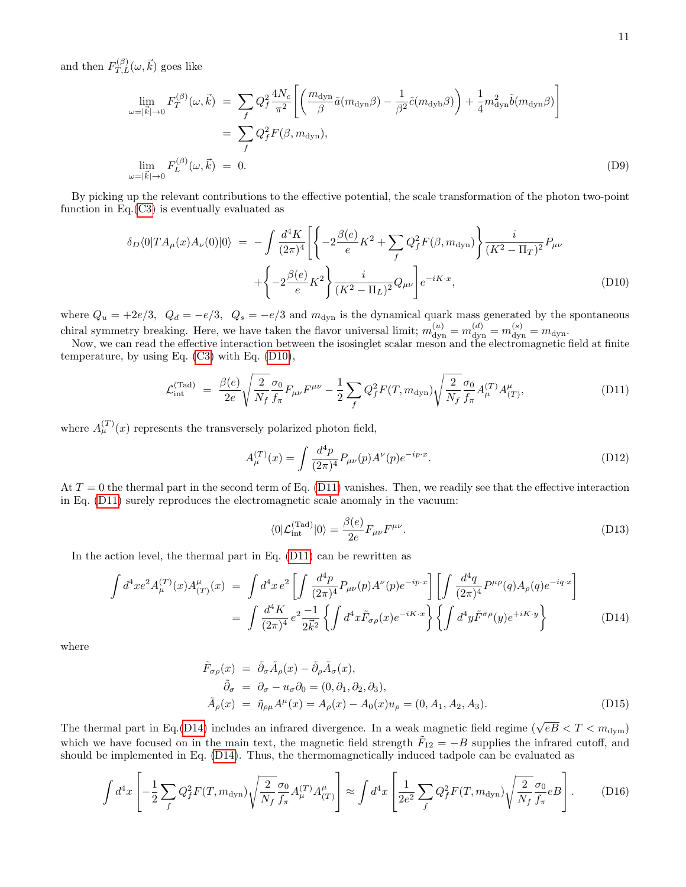and then  $F_{T,L}^{(\beta)}(\omega,\vec{k})$  goes like

$$
\lim_{\omega=|\vec{k}|\to 0} F_T^{(\beta)}(\omega, \vec{k}) = \sum_f Q_f^2 \frac{4N_c}{\pi^2} \left[ \left( \frac{m_{\text{dyn}}}{\beta} \tilde{a}(m_{\text{dyn}}\beta) - \frac{1}{\beta^2} \tilde{c}(m_{\text{dyb}}\beta) \right) + \frac{1}{4} m_{\text{dyn}}^2 \tilde{b}(m_{\text{dyn}}\beta) \right]
$$
  
\n
$$
= \sum_f Q_f^2 F(\beta, m_{\text{dyn}}),
$$
  
\n
$$
\lim_{\omega=|\vec{k}| \to 0} F_L^{(\beta)}(\omega, \vec{k}) = 0.
$$
 (D9)

By picking up the relevant contributions to the effective potential, the scale transformation of the photon two-point function in  $Eq.(C3)$  $Eq.(C3)$  is eventually evaluated as

<span id="page-10-0"></span>
$$
\delta_D \langle 0|TA_\mu(x)A_\nu(0)|0\rangle = -\int \frac{d^4K}{(2\pi)^4} \left[ \left\{ -2\frac{\beta(e)}{e}K^2 + \sum_f Q_f^2 F(\beta, m_{\text{dyn}}) \right\} \frac{i}{(K^2 - \Pi_T)^2} P_{\mu\nu} + \left\{ -2\frac{\beta(e)}{e}K^2 \right\} \frac{i}{(K^2 - \Pi_L)^2} Q_{\mu\nu} \right] e^{-iK \cdot x}, \tag{D10}
$$

where  $Q_u = +2e/3$ ,  $Q_d = -e/3$ ,  $Q_s = -e/3$  and  $m_{dyn}$  is the dynamical quark mass generated by the spontaneous chiral symmetry breaking. Here, we have taken the flavor universal limit;  $m_{\text{dyn}}^{(u)} = m_{\text{dyn}}^{(d)} = m_{\text{dyn}}^{(s)} = m_{\text{dyn}}$ .

Now, we can read the effective interaction between the isosinglet scalar meson and the electromagnetic field at finite temperature, by using Eq. [\(C3\)](#page-8-2) with Eq. [\(D10\)](#page-10-0),

<span id="page-10-1"></span>
$$
\mathcal{L}_{int}^{(Tad)} = \frac{\beta(e)}{2e} \sqrt{\frac{2}{N_f}} \frac{\sigma_0}{f_\pi} F_{\mu\nu} F^{\mu\nu} - \frac{1}{2} \sum_f Q_f^2 F(T, m_{dyn}) \sqrt{\frac{2}{N_f}} \frac{\sigma_0}{f_\pi} A_{\mu}^{(T)} A_{(T)}^{\mu}, \tag{D11}
$$

where  $A_{\mu}^{(T)}(x)$  represents the transversely polarized photon field,

$$
A_{\mu}^{(T)}(x) = \int \frac{d^4p}{(2\pi)^4} P_{\mu\nu}(p) A^{\nu}(p) e^{-ip \cdot x}.
$$
 (D12)

At  $T = 0$  the thermal part in the second term of Eq. [\(D11\)](#page-10-1) vanishes. Then, we readily see that the effective interaction in Eq. [\(D11\)](#page-10-1) surely reproduces the electromagnetic scale anomaly in the vacuum:

$$
\langle 0|\mathcal{L}_{int}^{(Tad)}|0\rangle = \frac{\beta(e)}{2e}F_{\mu\nu}F^{\mu\nu}.
$$
 (D13)

In the action level, the thermal part in Eq. [\(D11\)](#page-10-1) can be rewritten as

<span id="page-10-2"></span>
$$
\int d^4x e^2 A^{(T)}_{\mu}(x) A^{\mu}_{(T)}(x) = \int d^4x e^2 \left[ \int \frac{d^4p}{(2\pi)^4} P_{\mu\nu}(p) A^{\nu}(p) e^{-ip \cdot x} \right] \left[ \int \frac{d^4q}{(2\pi)^4} P^{\mu\rho}(q) A_{\rho}(q) e^{-iq \cdot x} \right]
$$

$$
= \int \frac{d^4K}{(2\pi)^4} e^2 \frac{-1}{2\vec{k}^2} \left\{ \int d^4x \tilde{F}_{\sigma\rho}(x) e^{-iK \cdot x} \right\} \left\{ \int d^4y \tilde{F}^{\sigma\rho}(y) e^{+iK \cdot y} \right\} \tag{D14}
$$

where

$$
\tilde{F}_{\sigma\rho}(x) = \tilde{\partial}_{\sigma}\tilde{A}_{\rho}(x) - \tilde{\partial}_{\rho}\tilde{A}_{\sigma}(x), \n\tilde{\partial}_{\sigma} = \partial_{\sigma} - u_{\sigma}\partial_{0} = (0, \partial_{1}, \partial_{2}, \partial_{3}), \n\tilde{A}_{\rho}(x) = \tilde{\eta}_{\rho\mu}A^{\mu}(x) = A_{\rho}(x) - A_{0}(x)u_{\rho} = (0, A_{1}, A_{2}, A_{3}).
$$
\n(D15)

The thermal part in Eq.[\(D14\)](#page-10-2) includes an infrared divergence. In a weak magnetic field regime ( $\sqrt{eB} < T < m_{\text{dyn}}$ ) which we have focused on in the main text, the magnetic field strength  $\tilde{F}_{12} = -B$  supplies the infrared cutoff, and should be implemented in Eq. [\(D14\)](#page-10-2). Thus, the thermomagnetically induced tadpole can be evaluated as

$$
\int d^4x \left[ -\frac{1}{2} \sum_f Q_f^2 F(T, m_{\rm dyn}) \sqrt{\frac{2}{N_f}} \frac{\sigma_0}{f_\pi} A_\mu^{(T)} A_{(T)}^\mu \right] \approx \int d^4x \left[ \frac{1}{2e^2} \sum_f Q_f^2 F(T, m_{\rm dyn}) \sqrt{\frac{2}{N_f}} \frac{\sigma_0}{f_\pi} e B \right].
$$
 (D16)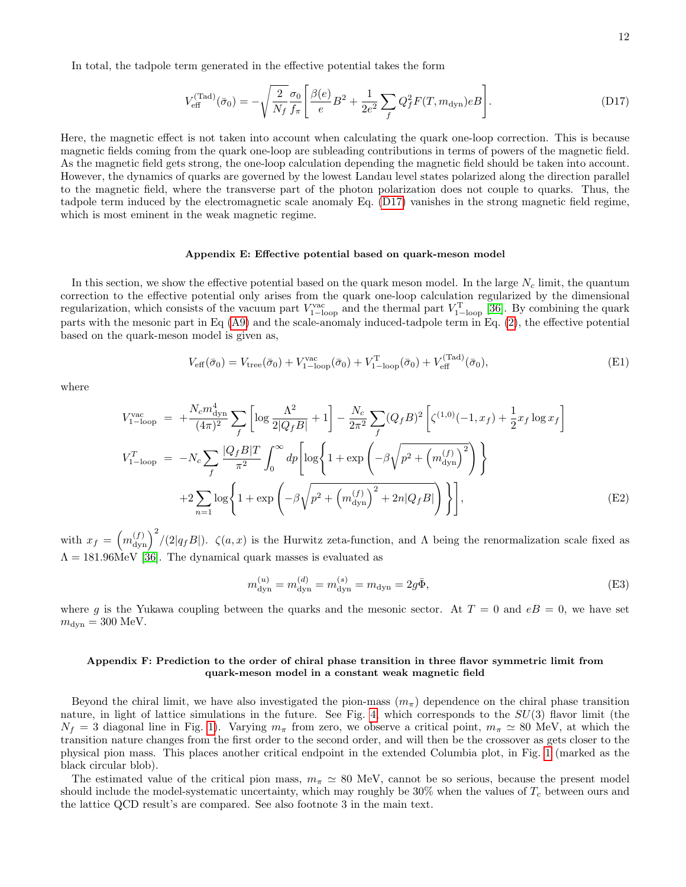In total, the tadpole term generated in the effective potential takes the form

<span id="page-11-1"></span>
$$
V_{\text{eff}}^{(\text{Tad})}(\bar{\sigma}_0) = -\sqrt{\frac{2}{N_f}} \frac{\sigma_0}{f_\pi} \left[ \frac{\beta(e)}{e} B^2 + \frac{1}{2e^2} \sum_f Q_f^2 F(T, m_{\text{dyn}}) e B \right]. \tag{D17}
$$

Here, the magnetic effect is not taken into account when calculating the quark one-loop correction. This is because magnetic fields coming from the quark one-loop are subleading contributions in terms of powers of the magnetic field. As the magnetic field gets strong, the one-loop calculation depending the magnetic field should be taken into account. However, the dynamics of quarks are governed by the lowest Landau level states polarized along the direction parallel to the magnetic field, where the transverse part of the photon polarization does not couple to quarks. Thus, the tadpole term induced by the electromagnetic scale anomaly Eq. [\(D17\)](#page-11-1) vanishes in the strong magnetic field regime, which is most eminent in the weak magnetic regime.

## Appendix E: Effective potential based on quark-meson model

In this section, we show the effective potential based on the quark meson model. In the large  $N_c$  limit, the quantum correction to the effective potential only arises from the quark one-loop calculation regularized by the dimensional regularization, which consists of the vacuum part  $V_{1-loop}^{vac}$  and the thermal part  $V_{1-loop}^{T}$  [\[36\]](#page-5-8). By combining the quark parts with the mesonic part in Eq [\(A9\)](#page-6-2) and the scale-anomaly induced-tadpole term in Eq. [\(2\)](#page-2-0), the effective potential based on the quark-meson model is given as,

$$
V_{\text{eff}}(\bar{\sigma}_0) = V_{\text{tree}}(\bar{\sigma}_0) + V_{1-\text{loop}}^{\text{vac}}(\bar{\sigma}_0) + V_{1-\text{loop}}^{\text{T}}(\bar{\sigma}_0) + V_{\text{eff}}^{\text{(Tad)}}(\bar{\sigma}_0),
$$
(E1)

where

$$
V_{1-\text{loop}}^{\text{vac}} = +\frac{N_c m_{\text{dyn}}^4}{(4\pi)^2} \sum_{f} \left[ \log \frac{\Lambda^2}{2|Q_f B|} + 1 \right] - \frac{N_c}{2\pi^2} \sum_{f} (Q_f B)^2 \left[ \zeta^{(1,0)}(-1, x_f) + \frac{1}{2} x_f \log x_f \right]
$$
  

$$
V_{1-\text{loop}}^T = -N_c \sum_{f} \frac{|Q_f B|T}{\pi^2} \int_0^\infty dp \left[ \log \left\{ 1 + \exp \left( -\beta \sqrt{p^2 + \left( m_{\text{dyn}}^{(f)} \right)^2} \right) \right\} + 2 \sum_{n=1} \log \left\{ 1 + \exp \left( -\beta \sqrt{p^2 + \left( m_{\text{dyn}}^{(f)} \right)^2 + 2n|Q_f B|} \right) \right\} \right],
$$
 (E2)

with  $x_f = \left(m_{\text{dyn}}^{(f)}\right)^2/(2|q_fB|)$ .  $\zeta(a,x)$  is the Hurwitz zeta-function, and  $\Lambda$  being the renormalization scale fixed as  $\Lambda = 181.96 \text{MeV}$  [\[36\]](#page-5-8). The dynamical quark masses is evaluated as

$$
m_{\rm dyn}^{(u)} = m_{\rm dyn}^{(d)} = m_{\rm dyn}^{(s)} = m_{\rm dyn} = 2g\bar{\Phi},\tag{E3}
$$

where g is the Yukawa coupling between the quarks and the mesonic sector. At  $T = 0$  and  $eB = 0$ , we have set  $m_{\text{dyn}} = 300 \text{ MeV}.$ 

## <span id="page-11-0"></span>Appendix F: Prediction to the order of chiral phase transition in three flavor symmetric limit from quark-meson model in a constant weak magnetic field

Beyond the chiral limit, we have also investigated the pion-mass  $(m_\pi)$  dependence on the chiral phase transition nature, in light of lattice simulations in the future. See Fig. [4,](#page-12-0) which corresponds to the  $SU(3)$  flavor limit (the  $N_f = 3$  diagonal line in Fig. [1\)](#page-0-3). Varying  $m_\pi$  from zero, we observe a critical point,  $m_\pi \simeq 80$  MeV, at which the transition nature changes from the first order to the second order, and will then be the crossover as gets closer to the physical pion mass. This places another critical endpoint in the extended Columbia plot, in Fig. [1](#page-0-3) (marked as the black circular blob).

The estimated value of the critical pion mass,  $m_{\pi} \simeq 80$  MeV, cannot be so serious, because the present model should include the model-systematic uncertainty, which may roughly be  $30\%$  when the values of  $T_c$  between ours and the lattice QCD result's are compared. See also footnote 3 in the main text.